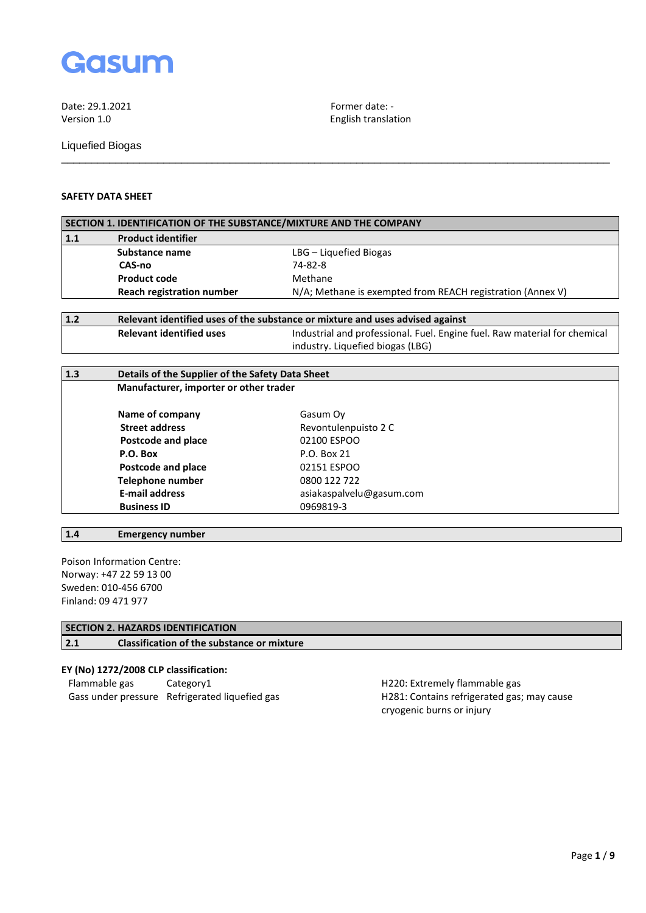

English translation

Liquefied Biogas

# **SAFETY DATA SHEET**

| SECTION 1. IDENTIFICATION OF THE SUBSTANCE/MIXTURE AND THE COMPANY |                                                                               |                                                                           |
|--------------------------------------------------------------------|-------------------------------------------------------------------------------|---------------------------------------------------------------------------|
| $1.1$                                                              | <b>Product identifier</b>                                                     |                                                                           |
|                                                                    | Substance name                                                                | LBG - Liquefied Biogas                                                    |
|                                                                    | CAS-no                                                                        | 74-82-8                                                                   |
|                                                                    | <b>Product code</b>                                                           | Methane                                                                   |
|                                                                    | <b>Reach registration number</b>                                              | N/A; Methane is exempted from REACH registration (Annex V)                |
| 1.2                                                                | Relevant identified uses of the substance or mixture and uses advised against |                                                                           |
|                                                                    | <b>Relevant identified uses</b>                                               | Industrial and professional. Fuel. Engine fuel. Raw material for chemical |
|                                                                    |                                                                               | industry. Liquefied biogas (LBG)                                          |
|                                                                    |                                                                               |                                                                           |
| 1.3<br>Details of the Supplier of the Safety Data Sheet            |                                                                               |                                                                           |
|                                                                    | Manufacturer, importer or other trader                                        |                                                                           |
|                                                                    | Name of company                                                               | Gasum Oy                                                                  |
|                                                                    | <b>Street address</b>                                                         | Revontulenpuisto 2 C                                                      |
|                                                                    | Postcode and place                                                            | 02100 ESPOO                                                               |
|                                                                    | P.O. Box                                                                      | P.O. Box 21                                                               |
|                                                                    | Postcode and place                                                            | 02151 ESPOO                                                               |
|                                                                    | <b>Telephone number</b>                                                       | 0800 122 722                                                              |
|                                                                    | <b>E-mail address</b>                                                         | asiakaspalvelu@gasum.com                                                  |
|                                                                    | <b>Business ID</b>                                                            | 0969819-3                                                                 |

\_\_\_\_\_\_\_\_\_\_\_\_\_\_\_\_\_\_\_\_\_\_\_\_\_\_\_\_\_\_\_\_\_\_\_\_\_\_\_\_\_\_\_\_\_\_\_\_\_\_\_\_\_\_\_\_\_\_\_\_\_\_\_\_\_\_\_\_\_\_\_\_\_\_\_\_\_\_\_\_\_\_\_\_\_\_\_\_\_\_\_

# **1.4 Emergency number**

Poison Information Centre: Norway: +47 22 59 13 00 Sweden: 010-456 6700 Finland: 09 471 977

## **SECTION 2. HAZARDS IDENTIFICATION**

**2.1 Classification of the substance or mixture**

**EY (No) 1272/2008 CLP classification:** Gass under pressure Refrigerated liquefied gas H281: Contains refrigerated gas; may cause

H220: Extremely flammable gas cryogenic burns or injury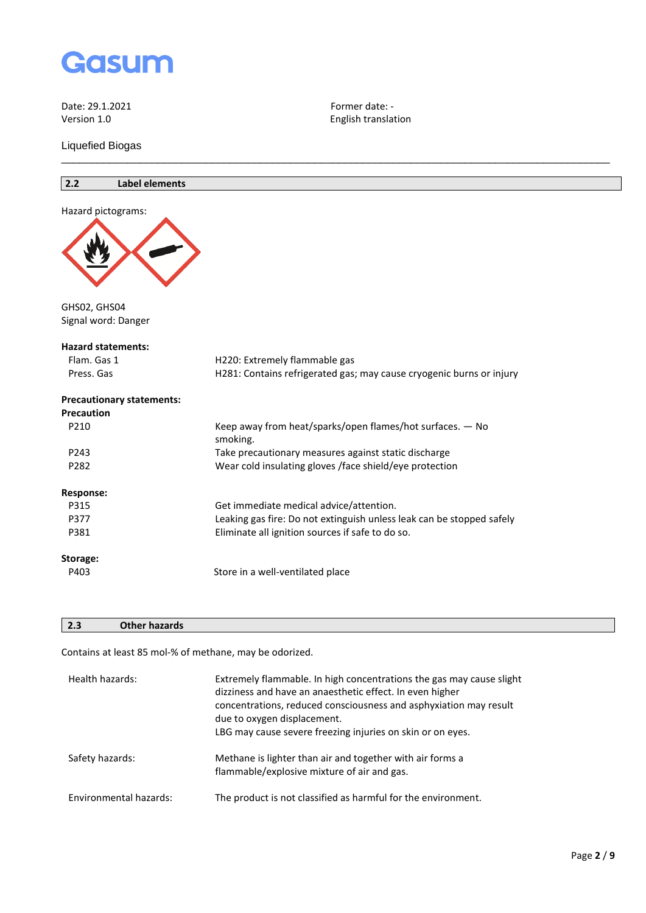

Liquefied Biogas

## **2.2 Label elements**



GHS02, GHS04 Signal word: Danger

### **Hazard statements:**

| Flam. Gas 1                      | H220: Extremely flammable gas                                           |
|----------------------------------|-------------------------------------------------------------------------|
| Press. Gas                       | H281: Contains refrigerated gas; may cause cryogenic burns or injury    |
| <b>Precautionary statements:</b> |                                                                         |
| <b>Precaution</b>                |                                                                         |
| P210                             | Keep away from heat/sparks/open flames/hot surfaces. $-$ No<br>smoking. |
| P243                             | Take precautionary measures against static discharge                    |
| P282                             | Wear cold insulating gloves / face shield/eye protection                |
| Response:                        |                                                                         |
| P315                             | Get immediate medical advice/attention.                                 |
| P377                             | Leaking gas fire: Do not extinguish unless leak can be stopped safely   |
| P381                             | Eliminate all ignition sources if safe to do so.                        |
| Storage:                         |                                                                         |
| P403                             | Store in a well-ventilated place                                        |
|                                  |                                                                         |

English translation

\_\_\_\_\_\_\_\_\_\_\_\_\_\_\_\_\_\_\_\_\_\_\_\_\_\_\_\_\_\_\_\_\_\_\_\_\_\_\_\_\_\_\_\_\_\_\_\_\_\_\_\_\_\_\_\_\_\_\_\_\_\_\_\_\_\_\_\_\_\_\_\_\_\_\_\_\_\_\_\_\_\_\_\_\_\_\_\_\_\_\_

## **2.3 Other hazards**

Contains at least 85 mol-% of methane, may be odorized.

| Health hazards:        | Extremely flammable. In high concentrations the gas may cause slight<br>dizziness and have an anaesthetic effect. In even higher<br>concentrations, reduced consciousness and asphyxiation may result<br>due to oxygen displacement.<br>LBG may cause severe freezing injuries on skin or on eyes. |
|------------------------|----------------------------------------------------------------------------------------------------------------------------------------------------------------------------------------------------------------------------------------------------------------------------------------------------|
| Safety hazards:        | Methane is lighter than air and together with air forms a<br>flammable/explosive mixture of air and gas.                                                                                                                                                                                           |
| Environmental hazards: | The product is not classified as harmful for the environment.                                                                                                                                                                                                                                      |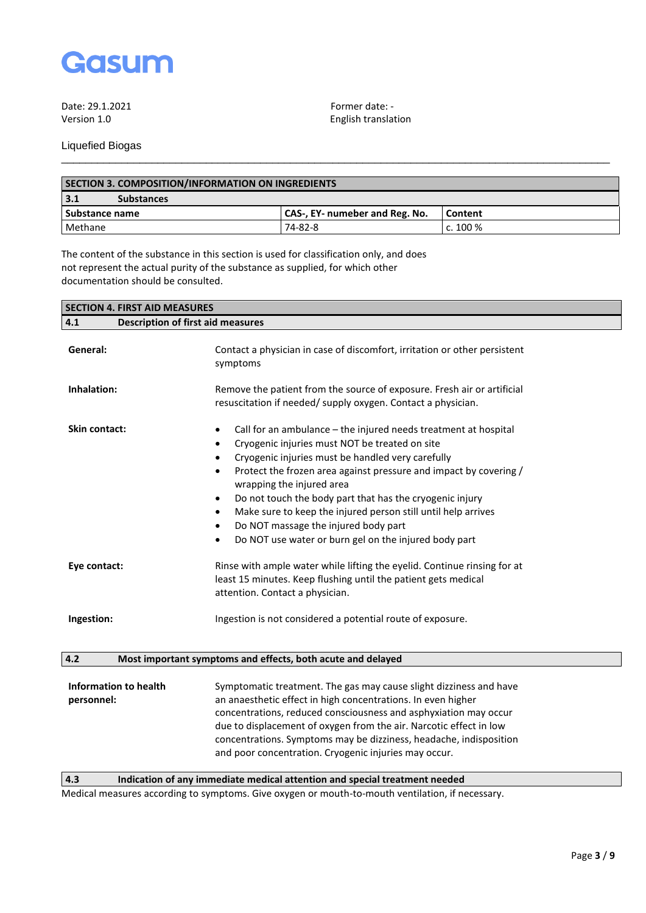

English translation

Liquefied Biogas

| SECTION 3. COMPOSITION/INFORMATION ON INGREDIENTS |                                |            |
|---------------------------------------------------|--------------------------------|------------|
| 3.1<br><b>Substances</b>                          |                                |            |
| Substance name                                    | CAS-, EY- numeber and Reg. No. | Content    |
| Methane                                           | 74-82-8                        | c. $100\%$ |

\_\_\_\_\_\_\_\_\_\_\_\_\_\_\_\_\_\_\_\_\_\_\_\_\_\_\_\_\_\_\_\_\_\_\_\_\_\_\_\_\_\_\_\_\_\_\_\_\_\_\_\_\_\_\_\_\_\_\_\_\_\_\_\_\_\_\_\_\_\_\_\_\_\_\_\_\_\_\_\_\_\_\_\_\_\_\_\_\_\_\_

The content of the substance in this section is used for classification only, and does not represent the actual purity of the substance as supplied, for which other documentation should be consulted.

| <b>SECTION 4. FIRST AID MEASURES</b>            |                                                                                                                                                                                                                                                                                                                                                                                                                                                                                                                                                                              |  |
|-------------------------------------------------|------------------------------------------------------------------------------------------------------------------------------------------------------------------------------------------------------------------------------------------------------------------------------------------------------------------------------------------------------------------------------------------------------------------------------------------------------------------------------------------------------------------------------------------------------------------------------|--|
| 4.1<br><b>Description of first aid measures</b> |                                                                                                                                                                                                                                                                                                                                                                                                                                                                                                                                                                              |  |
| General:                                        | Contact a physician in case of discomfort, irritation or other persistent<br>symptoms                                                                                                                                                                                                                                                                                                                                                                                                                                                                                        |  |
| Inhalation:                                     | Remove the patient from the source of exposure. Fresh air or artificial<br>resuscitation if needed/ supply oxygen. Contact a physician.                                                                                                                                                                                                                                                                                                                                                                                                                                      |  |
| <b>Skin contact:</b>                            | Call for an ambulance – the injured needs treatment at hospital<br>٠<br>Cryogenic injuries must NOT be treated on site<br>Cryogenic injuries must be handled very carefully<br>$\bullet$<br>Protect the frozen area against pressure and impact by covering /<br>wrapping the injured area<br>Do not touch the body part that has the cryogenic injury<br>$\bullet$<br>Make sure to keep the injured person still until help arrives<br>$\bullet$<br>Do NOT massage the injured body part<br>$\bullet$<br>Do NOT use water or burn gel on the injured body part<br>$\bullet$ |  |
| Eye contact:                                    | Rinse with ample water while lifting the eyelid. Continue rinsing for at<br>least 15 minutes. Keep flushing until the patient gets medical<br>attention. Contact a physician.                                                                                                                                                                                                                                                                                                                                                                                                |  |
| Ingestion:                                      | Ingestion is not considered a potential route of exposure.                                                                                                                                                                                                                                                                                                                                                                                                                                                                                                                   |  |
| 4.2                                             | Most important symptoms and effects, both acute and delayed                                                                                                                                                                                                                                                                                                                                                                                                                                                                                                                  |  |
| Information to health<br>personnel:             | Symptomatic treatment. The gas may cause slight dizziness and have<br>an anaesthetic effect in high concentrations. In even higher<br>concentrations, reduced consciousness and asphyxiation may occur<br>due to displacement of oxygen from the air. Narcotic effect in low<br>concentrations. Symptoms may be dizziness, headache, indisposition<br>and poor concentration. Cryogenic injuries may occur.                                                                                                                                                                  |  |

**4.3 Indication of any immediate medical attention and special treatment needed**

Medical measures according to symptoms. Give oxygen or mouth-to-mouth ventilation, if necessary.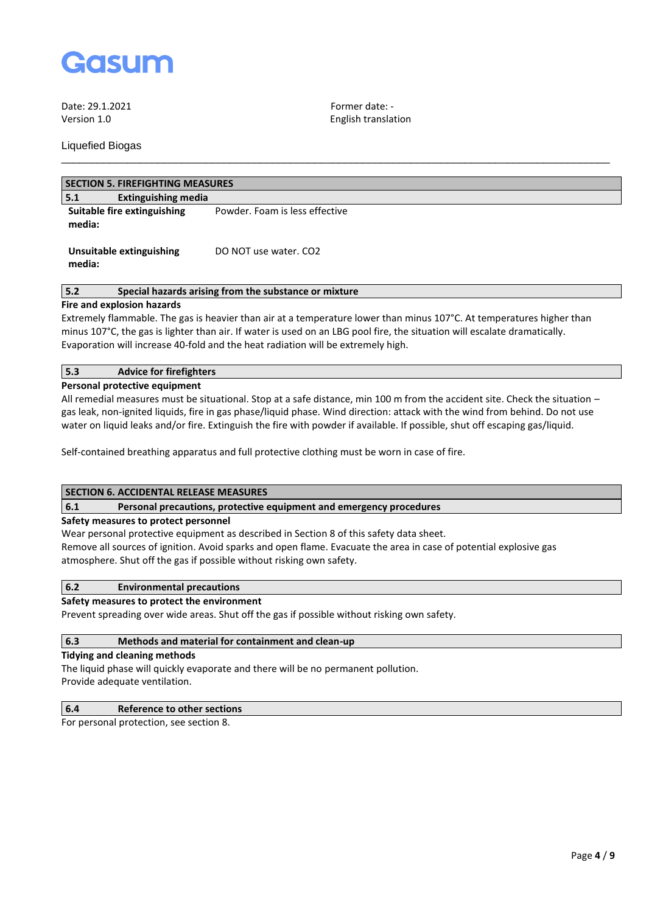

Liquefied Biogas

Version 1.0 English translation

| <b>SECTION 5. FIREFIGHTING MEASURES</b>   |                                |  |
|-------------------------------------------|--------------------------------|--|
| <b>Extinguishing media</b><br>5.1         |                                |  |
| Suitable fire extinguishing<br>media:     | Powder. Foam is less effective |  |
| <b>Unsuitable extinguishing</b><br>media: | DO NOT use water, CO2          |  |

\_\_\_\_\_\_\_\_\_\_\_\_\_\_\_\_\_\_\_\_\_\_\_\_\_\_\_\_\_\_\_\_\_\_\_\_\_\_\_\_\_\_\_\_\_\_\_\_\_\_\_\_\_\_\_\_\_\_\_\_\_\_\_\_\_\_\_\_\_\_\_\_\_\_\_\_\_\_\_\_\_\_\_\_\_\_\_\_\_\_\_

## **5.2 Special hazards arising from the substance or mixture**

## **Fire and explosion hazards**

Extremely flammable. The gas is heavier than air at a temperature lower than minus 107°C. At temperatures higher than minus 107°C, the gas is lighter than air. If water is used on an LBG pool fire, the situation will escalate dramatically. Evaporation will increase 40-fold and the heat radiation will be extremely high.

## **5.3 Advice for firefighters**

### **Personal protective equipment**

All remedial measures must be situational. Stop at a safe distance, min 100 m from the accident site. Check the situation – gas leak, non-ignited liquids, fire in gas phase/liquid phase. Wind direction: attack with the wind from behind. Do not use water on liquid leaks and/or fire. Extinguish the fire with powder if available. If possible, shut off escaping gas/liquid.

Self-contained breathing apparatus and full protective clothing must be worn in case of fire.

## **SECTION 6. ACCIDENTAL RELEASE MEASURES**

#### **6.1 Personal precautions, protective equipment and emergency procedures**

#### **Safety measures to protect personnel**

Wear personal protective equipment as described in Section 8 of this safety data sheet. Remove all sources of ignition. Avoid sparks and open flame. Evacuate the area in case of potential explosive gas atmosphere. Shut off the gas if possible without risking own safety.

### **6.2 Environmental precautions**

## **Safety measures to protect the environment**

Prevent spreading over wide areas. Shut off the gas if possible without risking own safety.

#### **6.3 Methods and material for containment and clean-up**

#### **Tidying and cleaning methods**

The liquid phase will quickly evaporate and there will be no permanent pollution. Provide adequate ventilation.

## **6.4 Reference to other sections**

For personal protection, see section 8.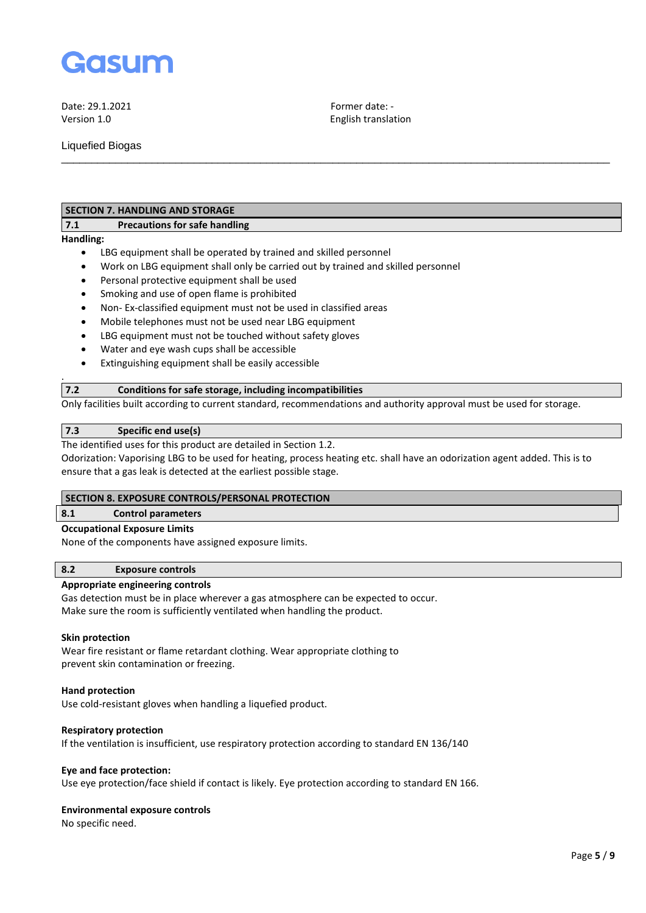

Version 1.0 English translation

\_\_\_\_\_\_\_\_\_\_\_\_\_\_\_\_\_\_\_\_\_\_\_\_\_\_\_\_\_\_\_\_\_\_\_\_\_\_\_\_\_\_\_\_\_\_\_\_\_\_\_\_\_\_\_\_\_\_\_\_\_\_\_\_\_\_\_\_\_\_\_\_\_\_\_\_\_\_\_\_\_\_\_\_\_\_\_\_\_\_\_

Liquefied Biogas

## **SECTION 7. HANDLING AND STORAGE**

## **7.1 Precautions for safe handling**

**Handling:**

.

- LBG equipment shall be operated by trained and skilled personnel
- Work on LBG equipment shall only be carried out by trained and skilled personnel
- Personal protective equipment shall be used
- Smoking and use of open flame is prohibited
- Non- Ex-classified equipment must not be used in classified areas
- Mobile telephones must not be used near LBG equipment
- LBG equipment must not be touched without safety gloves
- Water and eye wash cups shall be accessible
- Extinguishing equipment shall be easily accessible

## **7.2 Conditions for safe storage, including incompatibilities**

Only facilities built according to current standard, recommendations and authority approval must be used for storage.

## **7.3 Specific end use(s)**

The identified uses for this product are detailed in Section 1.2.

Odorization: Vaporising LBG to be used for heating, process heating etc. shall have an odorization agent added. This is to ensure that a gas leak is detected at the earliest possible stage.

#### **SECTION 8. EXPOSURE CONTROLS/PERSONAL PROTECTION**

#### **8.1 Control parameters**

#### **Occupational Exposure Limits**

None of the components have assigned exposure limits.

## **8.2 Exposure controls**

## **Appropriate engineering controls**

Gas detection must be in place wherever a gas atmosphere can be expected to occur. Make sure the room is sufficiently ventilated when handling the product.

#### **Skin protection**

Wear fire resistant or flame retardant clothing. Wear appropriate clothing to prevent skin contamination or freezing.

#### **Hand protection**

Use cold-resistant gloves when handling a liquefied product.

#### **Respiratory protection**

If the ventilation is insufficient, use respiratory protection according to standard EN 136/140

#### **Eye and face protection:**

Use eye protection/face shield if contact is likely. Eye protection according to standard EN 166.

#### **Environmental exposure controls**

No specific need.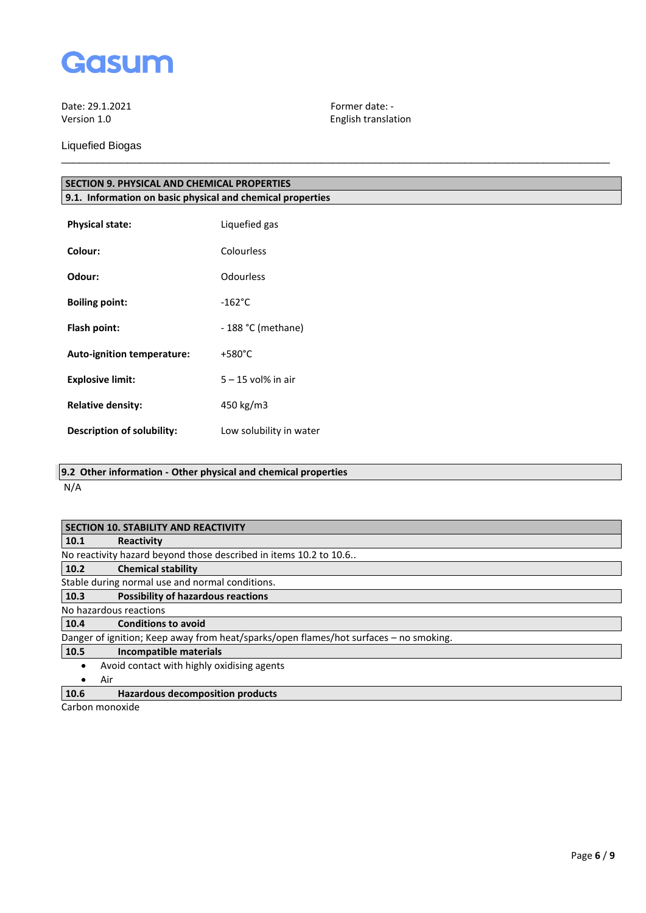

Liquefied Biogas

English translation

| <b>SECTION 9. PHYSICAL AND CHEMICAL PROPERTIES</b>         |               |  |
|------------------------------------------------------------|---------------|--|
| 9.1. Information on basic physical and chemical properties |               |  |
| <b>Physical state:</b>                                     | Liquefied gas |  |
| Colour:                                                    | Colourless    |  |

\_\_\_\_\_\_\_\_\_\_\_\_\_\_\_\_\_\_\_\_\_\_\_\_\_\_\_\_\_\_\_\_\_\_\_\_\_\_\_\_\_\_\_\_\_\_\_\_\_\_\_\_\_\_\_\_\_\_\_\_\_\_\_\_\_\_\_\_\_\_\_\_\_\_\_\_\_\_\_\_\_\_\_\_\_\_\_\_\_\_\_

| Odour:                            | Odourless               |
|-----------------------------------|-------------------------|
| <b>Boiling point:</b>             | $-162^{\circ}$ C        |
| Flash point:                      | - 188 °C (methane)      |
| Auto-ignition temperature:        | $+580^{\circ}$ C        |
| <b>Explosive limit:</b>           | $5 - 15$ vol% in air    |
| <b>Relative density:</b>          | 450 kg/m3               |
| <b>Description of solubility:</b> | Low solubility in water |

**9.2 Other information - Other physical and chemical properties**

N/A

| <b>SECTION 10. STABILITY AND REACTIVITY</b>                                           |  |  |
|---------------------------------------------------------------------------------------|--|--|
| Reactivity                                                                            |  |  |
| No reactivity hazard beyond those described in items 10.2 to 10.6                     |  |  |
| <b>Chemical stability</b>                                                             |  |  |
| Stable during normal use and normal conditions.                                       |  |  |
| <b>Possibility of hazardous reactions</b>                                             |  |  |
| No hazardous reactions                                                                |  |  |
| <b>Conditions to avoid</b>                                                            |  |  |
| Danger of ignition; Keep away from heat/sparks/open flames/hot surfaces - no smoking. |  |  |
| Incompatible materials                                                                |  |  |
| Avoid contact with highly oxidising agents                                            |  |  |
|                                                                                       |  |  |
| <b>Hazardous decomposition products</b>                                               |  |  |
|                                                                                       |  |  |

Carbon monoxide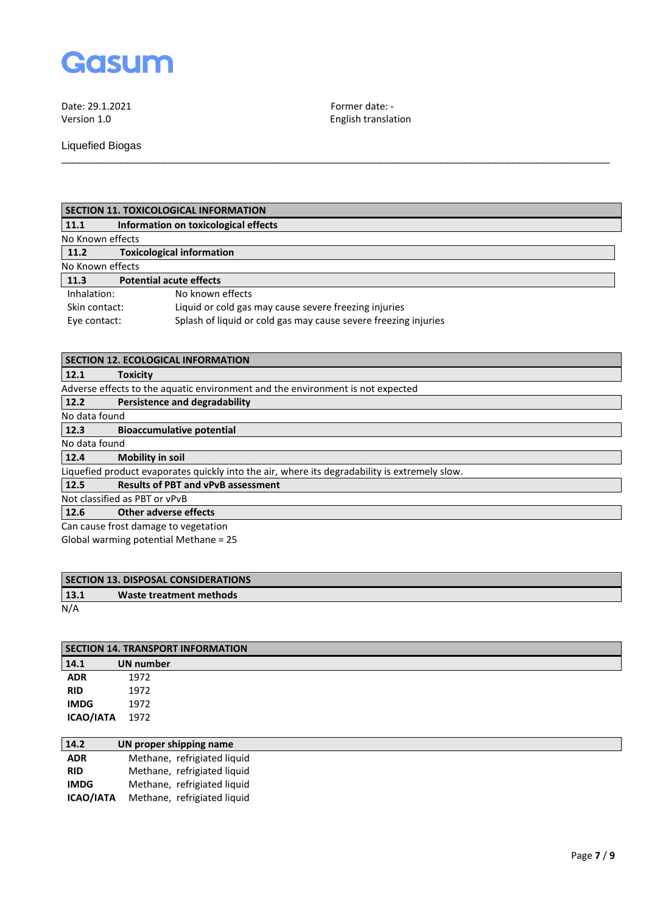

Liquefied Biogas

English translation

| SECTION 11. TOXICOLOGICAL INFORMATION |  |
|---------------------------------------|--|
|                                       |  |

| 11.1             | Information on toxicological effects                            |  |  |
|------------------|-----------------------------------------------------------------|--|--|
| No Known effects |                                                                 |  |  |
| 11.2             | <b>Toxicological information</b>                                |  |  |
| No Known effects |                                                                 |  |  |
| 11.3             | <b>Potential acute effects</b>                                  |  |  |
| Inhalation:      | No known effects                                                |  |  |
| Skin contact:    | Liquid or cold gas may cause severe freezing injuries           |  |  |
| Eye contact:     | Splash of liquid or cold gas may cause severe freezing injuries |  |  |
|                  |                                                                 |  |  |

\_\_\_\_\_\_\_\_\_\_\_\_\_\_\_\_\_\_\_\_\_\_\_\_\_\_\_\_\_\_\_\_\_\_\_\_\_\_\_\_\_\_\_\_\_\_\_\_\_\_\_\_\_\_\_\_\_\_\_\_\_\_\_\_\_\_\_\_\_\_\_\_\_\_\_\_\_\_\_\_\_\_\_\_\_\_\_\_\_\_\_

| <b>SECTION 12. ECOLOGICAL INFORMATION</b>                                                     |                                                                                |  |
|-----------------------------------------------------------------------------------------------|--------------------------------------------------------------------------------|--|
| 12.1                                                                                          | <b>Toxicity</b>                                                                |  |
|                                                                                               | Adverse effects to the aguatic environment and the environment is not expected |  |
| 12.2                                                                                          | Persistence and degradability                                                  |  |
| No data found                                                                                 |                                                                                |  |
| 12.3                                                                                          | <b>Bioaccumulative potential</b>                                               |  |
| No data found                                                                                 |                                                                                |  |
| 12.4                                                                                          | <b>Mobility in soil</b>                                                        |  |
| Liquefied product evaporates quickly into the air, where its degradability is extremely slow. |                                                                                |  |
| 12.5                                                                                          | <b>Results of PBT and vPvB assessment</b>                                      |  |
| Not classified as PBT or vPvB                                                                 |                                                                                |  |
| 12.6                                                                                          | Other adverse effects                                                          |  |
| Can cause frost damage to vegetation                                                          |                                                                                |  |
| Global warming potential Methane = 25                                                         |                                                                                |  |

| <b>SECTION 13. DISPOSAL CONSIDERATIONS</b> |                         |  |
|--------------------------------------------|-------------------------|--|
| 13.1                                       | Waste treatment methods |  |
| N/A                                        |                         |  |

| <b>SECTION 14. TRANSPORT INFORMATION</b> |           |  |
|------------------------------------------|-----------|--|
| 14.1                                     | UN number |  |
| <b>ADR</b>                               | 1972      |  |
| <b>RID</b>                               | 1972      |  |
| <b>IMDG</b>                              | 1972      |  |
| ICAO/IATA                                | 1972      |  |

| 14.2             | UN proper shipping name     |
|------------------|-----------------------------|
| <b>ADR</b>       | Methane, refrigiated liquid |
| <b>RID</b>       | Methane, refrigiated liquid |
| <b>IMDG</b>      | Methane, refrigiated liquid |
| <b>ICAO/IATA</b> | Methane, refrigiated liquid |
|                  |                             |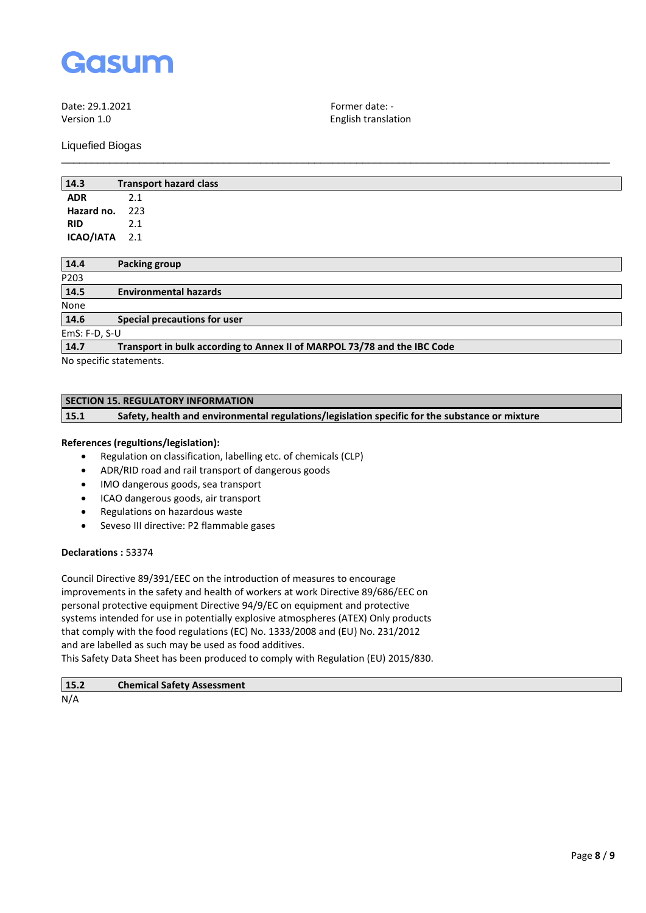

Date: 29.1.2021 **Former date:** - Former date: - Former date: - Former date: - Former date: - Former date: - Former date: - Former date: - Former date: - Former date: - Former date: - Former date: - Former date: - Former da

Liquefied Biogas

English translation

| 14.3          | <b>Transport hazard class</b> |
|---------------|-------------------------------|
| <b>ADR</b>    | 2.1                           |
| Hazard no.    | 223                           |
| <b>RID</b>    | 2.1                           |
| ICAO/IATA 2.1 |                               |

\_\_\_\_\_\_\_\_\_\_\_\_\_\_\_\_\_\_\_\_\_\_\_\_\_\_\_\_\_\_\_\_\_\_\_\_\_\_\_\_\_\_\_\_\_\_\_\_\_\_\_\_\_\_\_\_\_\_\_\_\_\_\_\_\_\_\_\_\_\_\_\_\_\_\_\_\_\_\_\_\_\_\_\_\_\_\_\_\_\_\_

| 14.4                                                                                                                                                                                                                             | Packing group                                                            |  |
|----------------------------------------------------------------------------------------------------------------------------------------------------------------------------------------------------------------------------------|--------------------------------------------------------------------------|--|
| P203                                                                                                                                                                                                                             |                                                                          |  |
| 14.5                                                                                                                                                                                                                             | <b>Environmental hazards</b>                                             |  |
| None                                                                                                                                                                                                                             |                                                                          |  |
| 14.6                                                                                                                                                                                                                             | Special precautions for user                                             |  |
| $EmS: F-D, S-U$                                                                                                                                                                                                                  |                                                                          |  |
| 14.7                                                                                                                                                                                                                             | Transport in bulk according to Annex II of MARPOL 73/78 and the IBC Code |  |
| $\mathbf{r}$ , and the set of the set of the set of the set of the set of the set of the set of the set of the set of the set of the set of the set of the set of the set of the set of the set of the set of the set of the set |                                                                          |  |

No specific statements.

## **SECTION 15. REGULATORY INFORMATION**

**15.1 Safety, health and environmental regulations/legislation specific for the substance or mixture**

### **References (regultions/legislation):**

- Regulation on classification, labelling etc. of chemicals (CLP)
- ADR/RID road and rail transport of dangerous goods
- IMO dangerous goods, sea transport
- ICAO dangerous goods, air transport
- Regulations on hazardous waste
- Seveso III directive: P2 flammable gases

## **Declarations :** 53374

Council Directive 89/391/EEC on the introduction of measures to encourage improvements in the safety and health of workers at work Directive 89/686/EEC on personal protective equipment Directive 94/9/EC on equipment and protective systems intended for use in potentially explosive atmospheres (ATEX) Only products that comply with the food regulations (EC) No. 1333/2008 and (EU) No. 231/2012 and are labelled as such may be used as food additives. This Safety Data Sheet has been produced to comply with Regulation (EU) 2015/830.

| 15.2    | <b>Chemical Safety Assessment</b> |
|---------|-----------------------------------|
| $A + I$ |                                   |

N/A